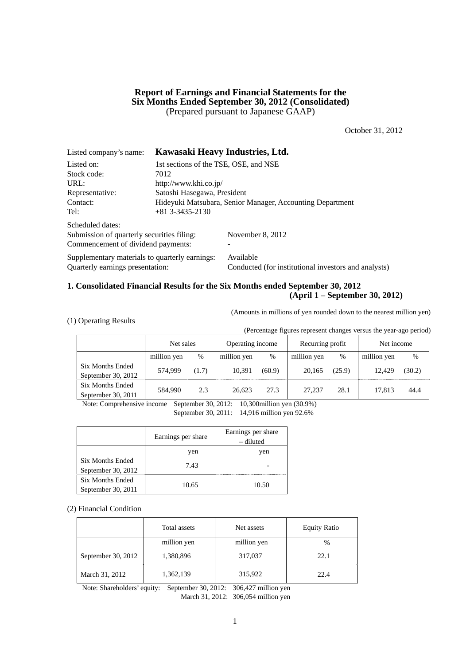## **Report of Earnings and Financial Statements for the Six Months Ended September 30, 2012 (Consolidated)**  (Prepared pursuant to Japanese GAAP)

October 31, 2012

| Listed company's name:                         |                                                           | Kawasaki Heavy Industries, Ltd.                      |  |  |  |
|------------------------------------------------|-----------------------------------------------------------|------------------------------------------------------|--|--|--|
| Listed on:                                     | 1st sections of the TSE, OSE, and NSE                     |                                                      |  |  |  |
| Stock code:                                    | 7012                                                      |                                                      |  |  |  |
| URL:                                           | http://www.khi.co.jp/                                     |                                                      |  |  |  |
| Representative:                                | Satoshi Hasegawa, President                               |                                                      |  |  |  |
| Contact:                                       | Hideyuki Matsubara, Senior Manager, Accounting Department |                                                      |  |  |  |
| Tel:                                           | $+81$ 3-3435-2130                                         |                                                      |  |  |  |
| Scheduled dates:                               |                                                           |                                                      |  |  |  |
| Submission of quarterly securities filing:     |                                                           | November 8, 2012                                     |  |  |  |
| Commencement of dividend payments:             |                                                           |                                                      |  |  |  |
| Supplementary materials to quarterly earnings: |                                                           | Available                                            |  |  |  |
| Quarterly earnings presentation:               |                                                           | Conducted (for institutional investors and analysts) |  |  |  |

# **1. Consolidated Financial Results for the Six Months ended September 30, 2012 (April 1 – September 30, 2012)**

(Amounts in millions of yen rounded down to the nearest million yen)

(1) Operating Results

(Percentage figures represent changes versus the year-ago period)

|                                               | Net sales   |       | Operating income |        | Recurring profit |        | Net income  |        |
|-----------------------------------------------|-------------|-------|------------------|--------|------------------|--------|-------------|--------|
|                                               | million yen | %     | million yen      | $\%$   | million yen      | %      | million yen | %      |
| Six Months Ended<br>September 30, $2012$      | 574.999     | (1.7) | 10.391           | (60.9) | 20.165           | (25.9) | 12.429      | (30.2) |
| <b>Six Months Ended</b><br>September 30, 2011 | 584.990     | 2.3   | 26.623           | 27.3   | 27,237           | 28.1   | 17.813      | 44.4   |

Note: Comprehensive income September 30, 2012: 10,300million yen (30.9%)

September 30, 2011: 14,916 million yen 92.6%

|                                               | Earnings per share | Earnings per share<br>– diluted |
|-----------------------------------------------|--------------------|---------------------------------|
|                                               | yen                | yen                             |
| <b>Six Months Ended</b><br>September 30, 2012 | 7.43               |                                 |
| <b>Six Months Ended</b><br>September 30, 2011 | 10.65              | 10.50                           |

### (2) Financial Condition

|                    | Total assets | Net assets  | <b>Equity Ratio</b> |
|--------------------|--------------|-------------|---------------------|
|                    | million yen  | million yen | $\%$                |
| September 30, 2012 | 1,380,896    | 317,037     | 22.1                |
| March 31, 2012     | 1,362,139    | 315,922     | 22.4                |

Note: Shareholders' equity: September 30, 2012: 306,427 million yen March 31, 2012: 306,054 million yen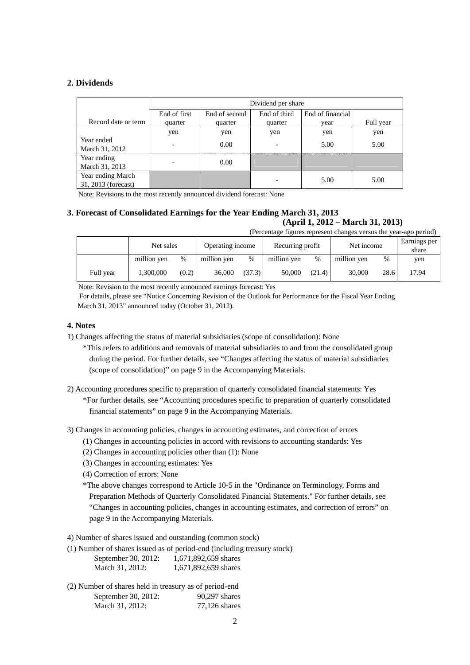## **2. Dividends**

|                                          | Dividend per share       |               |              |                  |           |  |
|------------------------------------------|--------------------------|---------------|--------------|------------------|-----------|--|
|                                          | End of first             | End of second | End of third | End of financial |           |  |
| Record date or term                      | quarter                  | quarter       | quarter      | vear             | Full year |  |
|                                          | yen                      | yen           | yen          | yen              | yen       |  |
| Year ended<br>March 31, 2012             | $\overline{\phantom{0}}$ | 0.00          | ۰            | 5.00             | 5.00      |  |
| Year ending<br>March 31, 2013            |                          | 0.00          |              |                  |           |  |
| Year ending March<br>31, 2013 (forecast) |                          |               |              | 5.00             | 5.00      |  |

Note: Revisions to the most recently announced dividend forecast: None

### **3. Forecast of Consolidated Earnings for the Year Ending March 31, 2013 (April 1, 2012 – March 31, 2013)**

(Percentage figures represent changes versus the year-ago period)

|           | Net sales   |       | Operating income |        | Net income<br>Recurring profit |               |             | Earnings per<br>share |       |
|-----------|-------------|-------|------------------|--------|--------------------------------|---------------|-------------|-----------------------|-------|
|           | million yen | $\%$  | million yen      | %      | million yen                    | $\frac{0}{0}$ | million yen | $\%$                  | yen   |
| Full year | 1.300.000   | (0.2) | 36,000           | (37.3) | 50,000                         | (21.4)        | 30,000      | 28.6                  | 17.94 |

Note: Revision to the most recently announced earnings forecast: Yes

For details, please see "Notice Concerning Revision of the Outlook for Performance for the Fiscal Year Ending March 31, 2013" announced today (October 31, 2012).

### **4. Notes**

1) Changes affecting the status of material subsidiaries (scope of consolidation): None

\*This refers to additions and removals of material subsidiaries to and from the consolidated group during the period. For further details, see "Changes affecting the status of material subsidiaries (scope of consolidation)" on page 9 in the Accompanying Materials.

2) Accounting procedures specific to preparation of quarterly consolidated financial statements: Yes \*For further details, see "Accounting procedures specific to preparation of quarterly consolidated financial statements" on page 9 in the Accompanying Materials.

3) Changes in accounting policies, changes in accounting estimates, and correction of errors

- (1) Changes in accounting policies in accord with revisions to accounting standards: Yes
- (2) Changes in accounting policies other than (1): None
- (3) Changes in accounting estimates: Yes
- (4) Correction of errors: None
- \*The above changes correspond to Article 10-5 in the "Ordinance on Terminology, Forms and Preparation Methods of Quarterly Consolidated Financial Statements." For further details, see "Changes in accounting policies, changes in accounting estimates, and correction of errors" on page 9 in the Accompanying Materials.

4) Number of shares issued and outstanding (common stock)

(1) Number of shares issued as of period-end (including treasury stock)

| September 30, 2012: | 1,671,892,659 shares |
|---------------------|----------------------|
| March 31, 2012:     | 1,671,892,659 shares |

(2) Number of shares held in treasury as of period-end September 30, 2012: 90,297 shares March 31, 2012: 77,126 shares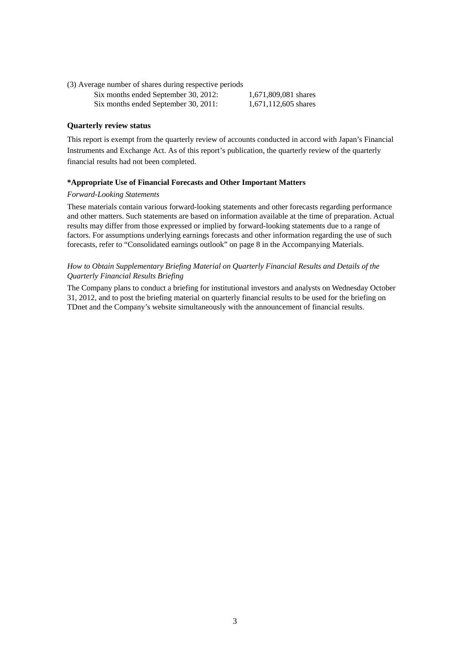(3) Average number of shares during respective periods Six months ended September 30, 2012: 1,671,809,081 shares Six months ended September 30, 2011: 1,671,112,605 shares

### **Quarterly review status**

This report is exempt from the quarterly review of accounts conducted in accord with Japan's Financial Instruments and Exchange Act. As of this report's publication, the quarterly review of the quarterly financial results had not been completed.

### **\*Appropriate Use of Financial Forecasts and Other Important Matters**

### *Forward-Looking Statements*

These materials contain various forward-looking statements and other forecasts regarding performance and other matters. Such statements are based on information available at the time of preparation. Actual results may differ from those expressed or implied by forward-looking statements due to a range of factors. For assumptions underlying earnings forecasts and other information regarding the use of such forecasts, refer to "Consolidated earnings outlook" on page 8 in the Accompanying Materials.

### *How to Obtain Supplementary Briefing Material on Quarterly Financial Results and Details of the Quarterly Financial Results Briefing*

The Company plans to conduct a briefing for institutional investors and analysts on Wednesday October 31, 2012, and to post the briefing material on quarterly financial results to be used for the briefing on TDnet and the Company's website simultaneously with the announcement of financial results.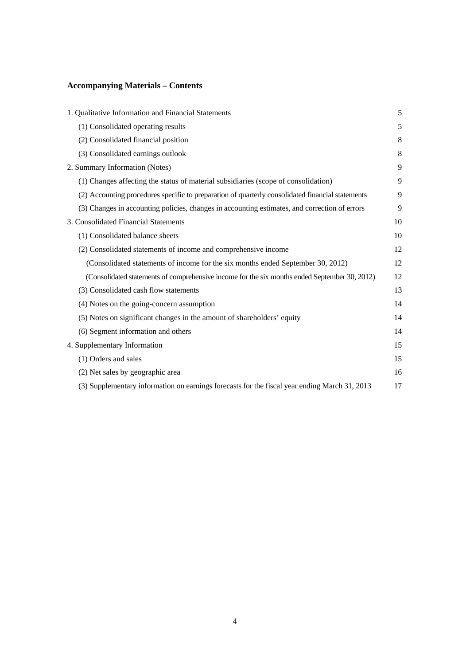# **Accompanying Materials – Contents**

| 1. Qualitative Information and Financial Statements                                              | 5  |
|--------------------------------------------------------------------------------------------------|----|
| (1) Consolidated operating results                                                               | 5  |
| (2) Consolidated financial position                                                              | 8  |
| (3) Consolidated earnings outlook                                                                | 8  |
| 2. Summary Information (Notes)                                                                   | 9  |
| (1) Changes affecting the status of material subsidiaries (scope of consolidation)               | 9  |
| (2) Accounting procedures specific to preparation of quarterly consolidated financial statements | 9  |
| (3) Changes in accounting policies, changes in accounting estimates, and correction of errors    | 9  |
| 3. Consolidated Financial Statements                                                             | 10 |
| (1) Consolidated balance sheets                                                                  | 10 |
| (2) Consolidated statements of income and comprehensive income                                   | 12 |
| (Consolidated statements of income for the six months ended September 30, 2012)                  | 12 |
| (Consolidated statements of comprehensive income for the six months ended September 30, 2012)    | 12 |
| (3) Consolidated cash flow statements                                                            | 13 |
| (4) Notes on the going-concern assumption                                                        | 14 |
| (5) Notes on significant changes in the amount of shareholders' equity                           | 14 |
| (6) Segment information and others                                                               | 14 |
| 4. Supplementary Information                                                                     | 15 |
| (1) Orders and sales                                                                             | 15 |
| (2) Net sales by geographic area                                                                 | 16 |
| (3) Supplementary information on earnings forecasts for the fiscal year ending March 31, 2013    | 17 |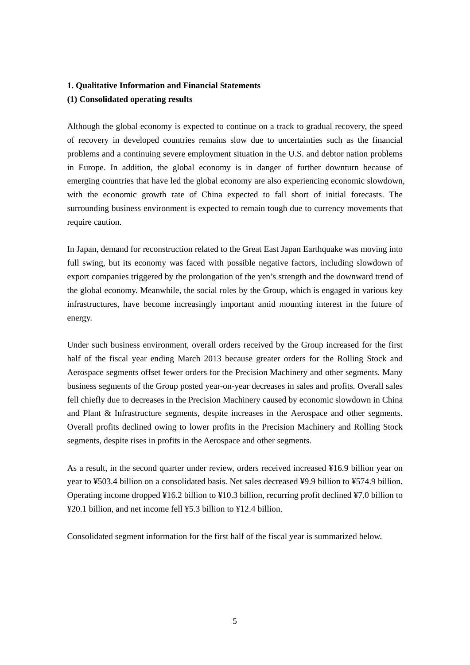# **1. Qualitative Information and Financial Statements**

# **(1) Consolidated operating results**

Although the global economy is expected to continue on a track to gradual recovery, the speed of recovery in developed countries remains slow due to uncertainties such as the financial problems and a continuing severe employment situation in the U.S. and debtor nation problems in Europe. In addition, the global economy is in danger of further downturn because of emerging countries that have led the global economy are also experiencing economic slowdown, with the economic growth rate of China expected to fall short of initial forecasts. The surrounding business environment is expected to remain tough due to currency movements that require caution.

In Japan, demand for reconstruction related to the Great East Japan Earthquake was moving into full swing, but its economy was faced with possible negative factors, including slowdown of export companies triggered by the prolongation of the yen's strength and the downward trend of the global economy. Meanwhile, the social roles by the Group, which is engaged in various key infrastructures, have become increasingly important amid mounting interest in the future of energy.

Under such business environment, overall orders received by the Group increased for the first half of the fiscal year ending March 2013 because greater orders for the Rolling Stock and Aerospace segments offset fewer orders for the Precision Machinery and other segments. Many business segments of the Group posted year-on-year decreases in sales and profits. Overall sales fell chiefly due to decreases in the Precision Machinery caused by economic slowdown in China and Plant & Infrastructure segments, despite increases in the Aerospace and other segments. Overall profits declined owing to lower profits in the Precision Machinery and Rolling Stock segments, despite rises in profits in the Aerospace and other segments.

As a result, in the second quarter under review, orders received increased ¥16.9 billion year on year to ¥503.4 billion on a consolidated basis. Net sales decreased ¥9.9 billion to ¥574.9 billion. Operating income dropped ¥16.2 billion to ¥10.3 billion, recurring profit declined ¥7.0 billion to ¥20.1 billion, and net income fell ¥5.3 billion to ¥12.4 billion.

Consolidated segment information for the first half of the fiscal year is summarized below.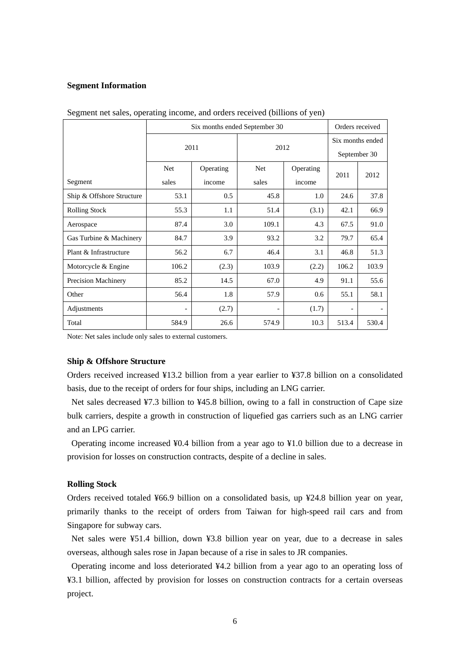### **Segment Information**

|                           | Six months ended September 30 |                     |                     |                                  |                          | Orders received |  |  |
|---------------------------|-------------------------------|---------------------|---------------------|----------------------------------|--------------------------|-----------------|--|--|
|                           | 2011                          |                     | 2012                | Six months ended<br>September 30 |                          |                 |  |  |
| Segment                   | Net<br>sales                  | Operating<br>income | <b>Net</b><br>sales | Operating<br>income              | 2011                     | 2012            |  |  |
| Ship & Offshore Structure | 53.1                          | 0.5                 | 45.8                | 1.0                              | 24.6                     | 37.8            |  |  |
| <b>Rolling Stock</b>      | 55.3                          | 1.1                 | 51.4                | (3.1)                            | 42.1                     | 66.9            |  |  |
| Aerospace                 | 87.4                          | 3.0                 | 109.1               | 4.3                              | 67.5                     | 91.0            |  |  |
| Gas Turbine & Machinery   | 84.7                          | 3.9                 | 93.2                | 3.2                              | 79.7                     | 65.4            |  |  |
| Plant & Infrastructure    | 56.2                          | 6.7                 | 46.4                | 3.1                              | 46.8                     | 51.3            |  |  |
| Motorcycle & Engine       | 106.2                         | (2.3)               | 103.9               | (2.2)                            | 106.2                    | 103.9           |  |  |
| Precision Machinery       | 85.2                          | 14.5                | 67.0                | 4.9                              | 91.1                     | 55.6            |  |  |
| Other                     | 56.4                          | 1.8                 | 57.9                | 0.6                              | 55.1                     | 58.1            |  |  |
| Adjustments               | $\overline{\phantom{a}}$      | (2.7)               |                     | (1.7)                            | $\overline{\phantom{a}}$ |                 |  |  |
| Total                     | 584.9                         | 26.6                | 574.9               | 10.3                             | 513.4                    | 530.4           |  |  |

Segment net sales, operating income, and orders received (billions of yen)

Note: Net sales include only sales to external customers.

### **Ship & Offshore Structure**

Orders received increased ¥13.2 billion from a year earlier to ¥37.8 billion on a consolidated basis, due to the receipt of orders for four ships, including an LNG carrier.

Net sales decreased ¥7.3 billion to ¥45.8 billion, owing to a fall in construction of Cape size bulk carriers, despite a growth in construction of liquefied gas carriers such as an LNG carrier and an LPG carrier.

Operating income increased ¥0.4 billion from a year ago to ¥1.0 billion due to a decrease in provision for losses on construction contracts, despite of a decline in sales.

# **Rolling Stock**

Orders received totaled ¥66.9 billion on a consolidated basis, up ¥24.8 billion year on year, primarily thanks to the receipt of orders from Taiwan for high-speed rail cars and from Singapore for subway cars.

Net sales were ¥51.4 billion, down ¥3.8 billion year on year, due to a decrease in sales overseas, although sales rose in Japan because of a rise in sales to JR companies.

Operating income and loss deteriorated ¥4.2 billion from a year ago to an operating loss of ¥3.1 billion, affected by provision for losses on construction contracts for a certain overseas project.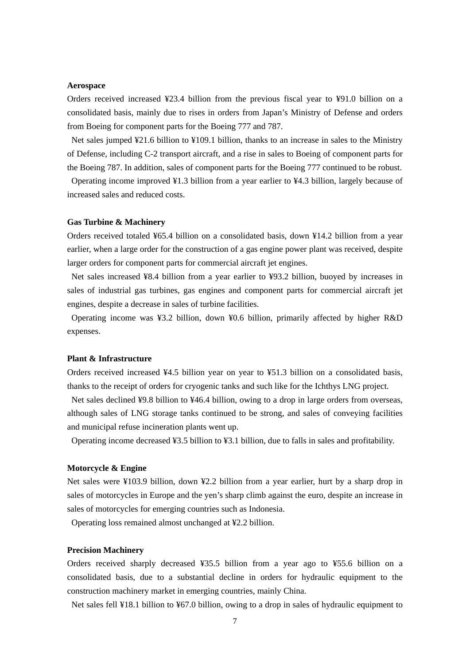### **Aerospace**

Orders received increased ¥23.4 billion from the previous fiscal year to ¥91.0 billion on a consolidated basis, mainly due to rises in orders from Japan's Ministry of Defense and orders from Boeing for component parts for the Boeing 777 and 787.

Net sales jumped ¥21.6 billion to ¥109.1 billion, thanks to an increase in sales to the Ministry of Defense, including C-2 transport aircraft, and a rise in sales to Boeing of component parts for the Boeing 787. In addition, sales of component parts for the Boeing 777 continued to be robust.

Operating income improved ¥1.3 billion from a year earlier to ¥4.3 billion, largely because of increased sales and reduced costs.

### **Gas Turbine & Machinery**

Orders received totaled ¥65.4 billion on a consolidated basis, down ¥14.2 billion from a year earlier, when a large order for the construction of a gas engine power plant was received, despite larger orders for component parts for commercial aircraft jet engines.

Net sales increased ¥8.4 billion from a year earlier to ¥93.2 billion, buoyed by increases in sales of industrial gas turbines, gas engines and component parts for commercial aircraft jet engines, despite a decrease in sales of turbine facilities.

Operating income was ¥3.2 billion, down ¥0.6 billion, primarily affected by higher R&D expenses.

# **Plant & Infrastructure**

Orders received increased ¥4.5 billion year on year to ¥51.3 billion on a consolidated basis, thanks to the receipt of orders for cryogenic tanks and such like for the Ichthys LNG project.

Net sales declined ¥9.8 billion to ¥46.4 billion, owing to a drop in large orders from overseas, although sales of LNG storage tanks continued to be strong, and sales of conveying facilities and municipal refuse incineration plants went up.

Operating income decreased ¥3.5 billion to ¥3.1 billion, due to falls in sales and profitability.

### **Motorcycle & Engine**

Net sales were ¥103.9 billion, down ¥2.2 billion from a year earlier, hurt by a sharp drop in sales of motorcycles in Europe and the yen's sharp climb against the euro, despite an increase in sales of motorcycles for emerging countries such as Indonesia.

Operating loss remained almost unchanged at ¥2.2 billion.

### **Precision Machinery**

Orders received sharply decreased ¥35.5 billion from a year ago to ¥55.6 billion on a consolidated basis, due to a substantial decline in orders for hydraulic equipment to the construction machinery market in emerging countries, mainly China.

Net sales fell ¥18.1 billion to ¥67.0 billion, owing to a drop in sales of hydraulic equipment to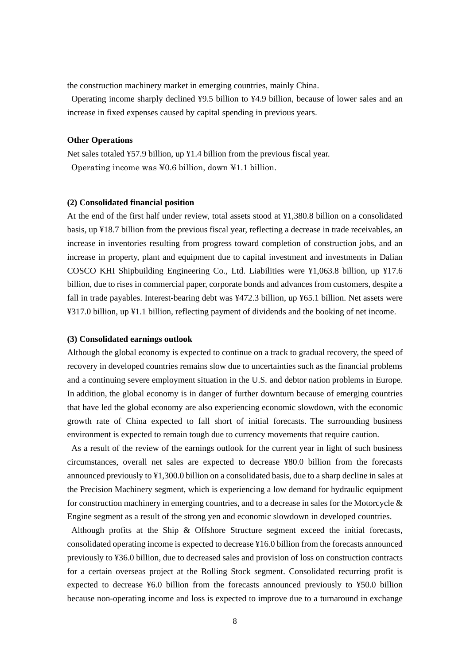the construction machinery market in emerging countries, mainly China.

Operating income sharply declined ¥9.5 billion to ¥4.9 billion, because of lower sales and an increase in fixed expenses caused by capital spending in previous years.

### **Other Operations**

Net sales totaled ¥57.9 billion, up ¥1.4 billion from the previous fiscal year. Operating income was ¥0.6 billion, down ¥1.1 billion.

# **(2) Consolidated financial position**

At the end of the first half under review, total assets stood at ¥1,380.8 billion on a consolidated basis, up ¥18.7 billion from the previous fiscal year, reflecting a decrease in trade receivables, an increase in inventories resulting from progress toward completion of construction jobs, and an increase in property, plant and equipment due to capital investment and investments in Dalian COSCO KHI Shipbuilding Engineering Co., Ltd. Liabilities were ¥1,063.8 billion, up ¥17.6 billion, due to rises in commercial paper, corporate bonds and advances from customers, despite a fall in trade payables. Interest-bearing debt was ¥472.3 billion, up ¥65.1 billion. Net assets were ¥317.0 billion, up ¥1.1 billion, reflecting payment of dividends and the booking of net income.

#### **(3) Consolidated earnings outlook**

Although the global economy is expected to continue on a track to gradual recovery, the speed of recovery in developed countries remains slow due to uncertainties such as the financial problems and a continuing severe employment situation in the U.S. and debtor nation problems in Europe. In addition, the global economy is in danger of further downturn because of emerging countries that have led the global economy are also experiencing economic slowdown, with the economic growth rate of China expected to fall short of initial forecasts. The surrounding business environment is expected to remain tough due to currency movements that require caution.

As a result of the review of the earnings outlook for the current year in light of such business circumstances, overall net sales are expected to decrease ¥80.0 billion from the forecasts announced previously to ¥1,300.0 billion on a consolidated basis, due to a sharp decline in sales at the Precision Machinery segment, which is experiencing a low demand for hydraulic equipment for construction machinery in emerging countries, and to a decrease in sales for the Motorcycle  $\&$ Engine segment as a result of the strong yen and economic slowdown in developed countries.

Although profits at the Ship & Offshore Structure segment exceed the initial forecasts, consolidated operating income is expected to decrease ¥16.0 billion from the forecasts announced previously to ¥36.0 billion, due to decreased sales and provision of loss on construction contracts for a certain overseas project at the Rolling Stock segment. Consolidated recurring profit is expected to decrease ¥6.0 billion from the forecasts announced previously to ¥50.0 billion because non-operating income and loss is expected to improve due to a turnaround in exchange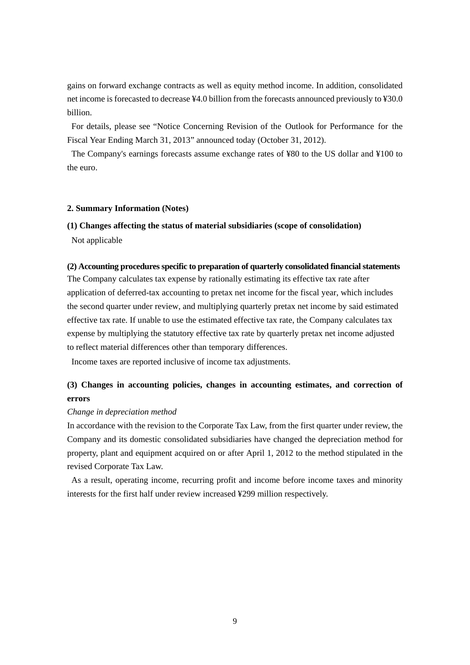gains on forward exchange contracts as well as equity method income. In addition, consolidated net income is forecasted to decrease ¥4.0 billion from the forecasts announced previously to ¥30.0 billion.

For details, please see "Notice Concerning Revision of the Outlook for Performance for the Fiscal Year Ending March 31, 2013" announced today (October 31, 2012).

The Company's earnings forecasts assume exchange rates of ¥80 to the US dollar and ¥100 to the euro.

### **2. Summary Information (Notes)**

#### **(1) Changes affecting the status of material subsidiaries (scope of consolidation)**

Not applicable

### **(2) Accounting procedures specific to preparation of quarterly consolidated financial statements**

The Company calculates tax expense by rationally estimating its effective tax rate after application of deferred-tax accounting to pretax net income for the fiscal year, which includes the second quarter under review, and multiplying quarterly pretax net income by said estimated effective tax rate. If unable to use the estimated effective tax rate, the Company calculates tax expense by multiplying the statutory effective tax rate by quarterly pretax net income adjusted to reflect material differences other than temporary differences.

Income taxes are reported inclusive of income tax adjustments.

# **(3) Changes in accounting policies, changes in accounting estimates, and correction of errors**

#### *Change in depreciation method*

In accordance with the revision to the Corporate Tax Law, from the first quarter under review, the Company and its domestic consolidated subsidiaries have changed the depreciation method for property, plant and equipment acquired on or after April 1, 2012 to the method stipulated in the revised Corporate Tax Law.

As a result, operating income, recurring profit and income before income taxes and minority interests for the first half under review increased ¥299 million respectively.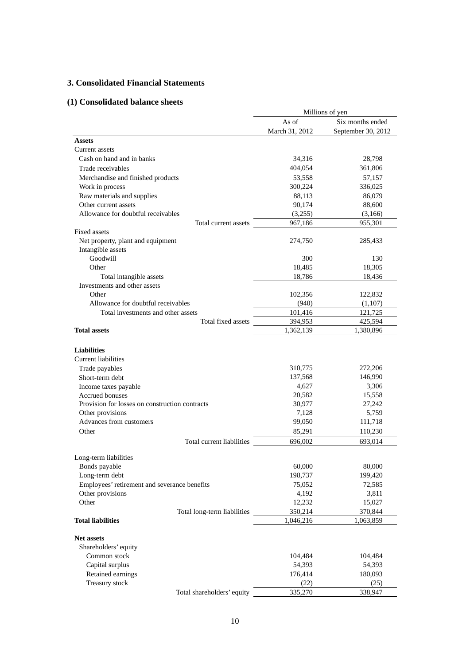# **3. Consolidated Financial Statements**

# **(1) Consolidated balance sheets**

|                                                |                | Millions of yen    |
|------------------------------------------------|----------------|--------------------|
|                                                | As of          | Six months ended   |
|                                                | March 31, 2012 | September 30, 2012 |
| <b>Assets</b>                                  |                |                    |
| Current assets                                 |                |                    |
| Cash on hand and in banks                      | 34,316         | 28,798             |
| Trade receivables                              | 404,054        | 361,806            |
| Merchandise and finished products              | 53,558         | 57,157             |
| Work in process                                | 300,224        | 336,025            |
| Raw materials and supplies                     | 88,113         | 86,079             |
| Other current assets                           | 90,174         | 88,600             |
| Allowance for doubtful receivables             | (3,255)        | (3,166)            |
| Total current assets                           | 967,186        | 955,301            |
| Fixed assets                                   |                |                    |
| Net property, plant and equipment              | 274,750        | 285,433            |
| Intangible assets                              |                |                    |
| Goodwill                                       | 300            | 130                |
| Other                                          | 18,485         | 18,305             |
| Total intangible assets                        | 18,786         | 18,436             |
| Investments and other assets                   |                |                    |
| Other                                          | 102,356        | 122,832            |
| Allowance for doubtful receivables             | (940)          | (1,107)            |
| Total investments and other assets             | 101,416        | 121,725            |
| Total fixed assets                             | 394,953        | 425,594            |
| <b>Total assets</b>                            | 1,362,139      | 1,380,896          |
|                                                |                |                    |
| <b>Liabilities</b>                             |                |                    |
| Current liabilities                            |                |                    |
| Trade payables                                 | 310,775        | 272,206            |
| Short-term debt                                | 137,568        | 146,990            |
| Income taxes payable                           | 4,627          | 3,306              |
| <b>Accrued bonuses</b>                         | 20,582         | 15,558             |
| Provision for losses on construction contracts | 30,977         | 27,242             |
| Other provisions                               | 7,128          | 5,759              |
| Advances from customers                        | 99,050         | 111,718            |
| Other                                          | 85,291         | 110,230            |
| Total current liabilities                      | 696,002        | 693,014            |
|                                                |                |                    |
| Long-term liabilities                          |                |                    |
| Bonds payable                                  | 60,000         | 80,000             |
| Long-term debt                                 | 198,737        | 199,420            |
| Employees' retirement and severance benefits   | 75,052         | 72,585             |
| Other provisions                               | 4,192          | 3,811              |
| Other                                          | 12,232         | 15,027             |
| Total long-term liabilities                    | 350,214        | 370,844            |
| <b>Total liabilities</b>                       | 1,046,216      | 1,063,859          |
|                                                |                |                    |
| <b>Net assets</b>                              |                |                    |
| Shareholders' equity                           |                |                    |
| Common stock                                   | 104,484        | 104,484            |
| Capital surplus                                | 54,393         | 54,393             |
| Retained earnings                              | 176,414        | 180,093            |
| Treasury stock                                 | (22)           | (25)               |
| Total shareholders' equity                     | 335,270        | 338,947            |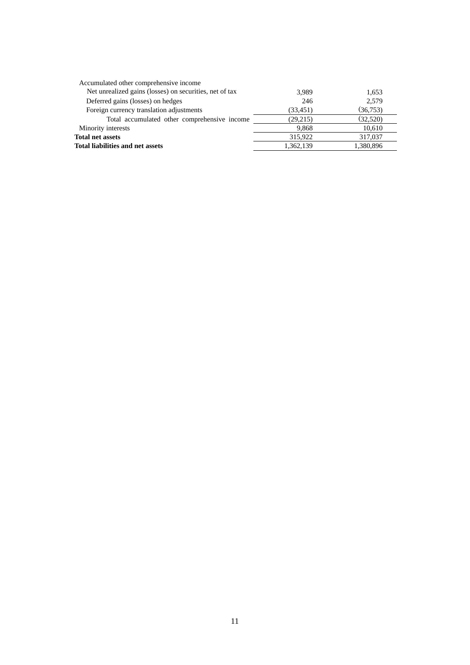| Accumulated other comprehensive income                  |           |           |
|---------------------------------------------------------|-----------|-----------|
| Net unrealized gains (losses) on securities, net of tax | 3,989     | 1,653     |
| Deferred gains (losses) on hedges                       | 246       | 2,579     |
| Foreign currency translation adjustments                | (33, 451) | (36,753)  |
| Total accumulated other comprehensive income            | (29,215)  | (32,520)  |
| Minority interests                                      | 9.868     | 10,610    |
| <b>Total net assets</b>                                 | 315,922   | 317,037   |
| Total liabilities and net assets                        | 1,362,139 | 1,380,896 |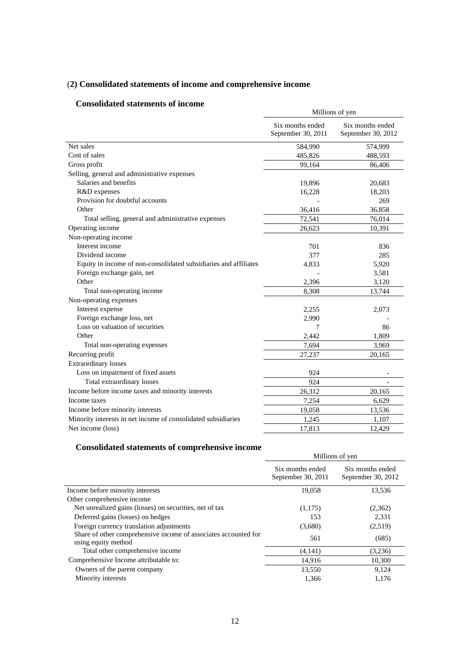# (**2) Consolidated statements of income and comprehensive income**

# **Consolidated statements of income**

|                                                                  | Millions of yen                        |                                        |  |  |
|------------------------------------------------------------------|----------------------------------------|----------------------------------------|--|--|
|                                                                  | Six months ended<br>September 30, 2011 | Six months ended<br>September 30, 2012 |  |  |
| Net sales                                                        | 584,990                                | 574,999                                |  |  |
| Cost of sales                                                    | 485,826                                | 488,593                                |  |  |
| Gross profit                                                     | 99,164                                 | 86,406                                 |  |  |
| Selling, general and administrative expenses                     |                                        |                                        |  |  |
| Salaries and benefits                                            | 19,896                                 | 20,683                                 |  |  |
| R&D expenses                                                     | 16,228                                 | 18,203                                 |  |  |
| Provision for doubtful accounts                                  |                                        | 269                                    |  |  |
| Other                                                            | 36,416                                 | 36,858                                 |  |  |
| Total selling, general and administrative expenses               | 72,541                                 | 76,014                                 |  |  |
| Operating income                                                 | 26,623                                 | 10,391                                 |  |  |
| Non-operating income                                             |                                        |                                        |  |  |
| Interest income                                                  | 701                                    | 836                                    |  |  |
| Dividend income                                                  | 377                                    | 285                                    |  |  |
| Equity in income of non-consolidated subsidiaries and affiliates | 4,833                                  | 5,920                                  |  |  |
| Foreign exchange gain, net                                       |                                        | 3,581                                  |  |  |
| Other                                                            | 2,396                                  | 3,120                                  |  |  |
| Total non-operating income                                       | 8,308                                  | 13,744                                 |  |  |
| Non-operating expenses                                           |                                        |                                        |  |  |
| Interest expense                                                 | 2,255                                  | 2,073                                  |  |  |
| Foreign exchange loss, net                                       | 2,990                                  |                                        |  |  |
| Loss on valuation of securities                                  | 7                                      | 86                                     |  |  |
| Other                                                            | 2,442                                  | 1,809                                  |  |  |
| Total non-operating expenses                                     | 7,694                                  | 3,969                                  |  |  |
| Recurring profit                                                 | 27,237                                 | 20,165                                 |  |  |
| <b>Extraordinary losses</b>                                      |                                        |                                        |  |  |
| Loss on impairment of fixed assets                               | 924                                    |                                        |  |  |
| Total extraordinary losses                                       | 924                                    | $\overline{\phantom{a}}$               |  |  |
| Income before income taxes and minority interests                | 26,312                                 | 20,165                                 |  |  |
| Income taxes                                                     | 7,254                                  | 6,629                                  |  |  |
| Income before minority interests                                 | 19,058                                 | 13,536                                 |  |  |
| Minority interests in net income of consolidated subsidiaries    | 1,245                                  | 1,107                                  |  |  |
| Net income (loss)                                                | 17,813                                 | 12,429                                 |  |  |

# **Consolidated statements of comprehensive income**

|                                                                                        | Millions of yen                        |                                        |  |
|----------------------------------------------------------------------------------------|----------------------------------------|----------------------------------------|--|
|                                                                                        | Six months ended<br>September 30, 2011 | Six months ended<br>September 30, 2012 |  |
| Income before minority interests                                                       | 19,058                                 | 13,536                                 |  |
| Other comprehensive income                                                             |                                        |                                        |  |
| Net unrealized gains (losses) on securities, net of tax                                | (1,175)                                | (2,362)                                |  |
| Deferred gains (losses) on hedges                                                      | 153                                    | 2,331                                  |  |
| Foreign currency translation adjustments                                               | (3,680)                                | (2,519)                                |  |
| Share of other comprehensive income of associates accounted for<br>using equity method | 561                                    | (685)                                  |  |
| Total other comprehensive income                                                       | (4,141)                                | (3,236)                                |  |
| Comprehensive Income attributable to:                                                  | 14,916                                 | 10,300                                 |  |
| Owners of the parent company                                                           | 13,550                                 | 9,124                                  |  |
| Minority interests                                                                     | 1,366                                  | 1.176                                  |  |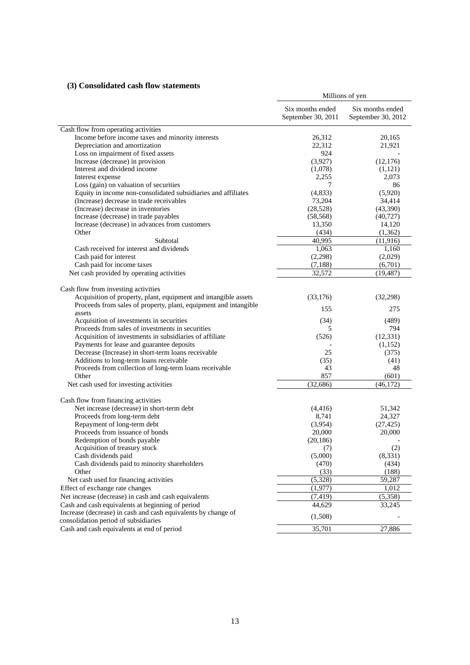# **(3) Consolidated cash flow statements**

|                                                                                                       | Millions of yen                        |                                        |  |  |
|-------------------------------------------------------------------------------------------------------|----------------------------------------|----------------------------------------|--|--|
|                                                                                                       | Six months ended<br>September 30, 2011 | Six months ended<br>September 30, 2012 |  |  |
| Cash flow from operating activities                                                                   |                                        |                                        |  |  |
| Income before income taxes and minority interests                                                     | 26,312                                 | 20,165                                 |  |  |
| Depreciation and amortization                                                                         | 22,312                                 | 21,921                                 |  |  |
| Loss on impairment of fixed assets                                                                    | 924                                    |                                        |  |  |
| Increase (decrease) in provision                                                                      | (3,927)                                | (12, 176)                              |  |  |
| Interest and dividend income                                                                          | (1,078)                                | (1,121)                                |  |  |
| Interest expense                                                                                      | 2,255                                  | 2,073                                  |  |  |
| Loss (gain) on valuation of securities                                                                | 7                                      | 86                                     |  |  |
| Equity in income non-consolidated subsidiaries and affiliates                                         | (4, 833)                               | (5,920)                                |  |  |
| (Increase) decrease in trade receivables                                                              | 73,204                                 | 34,414                                 |  |  |
| (Increase) decrease in inventories                                                                    | (28, 528)                              | (43,390)                               |  |  |
| Increase (decrease) in trade payables                                                                 | (58, 568)                              | (40, 727)                              |  |  |
| Increase (decrease) in advances from customers                                                        | 13,350                                 | 14,120                                 |  |  |
| Other                                                                                                 | (434)                                  | (1, 362)                               |  |  |
| Subtotal                                                                                              | 40,995                                 | (11, 916)                              |  |  |
| Cash received for interest and dividends                                                              | 1,063                                  | 1,160                                  |  |  |
| Cash paid for interest                                                                                | (2,298)                                | (2,029)                                |  |  |
| Cash paid for income taxes                                                                            | (7, 188)                               | (6,701)                                |  |  |
| Net cash provided by operating activities                                                             | 32,572                                 | (19, 487)                              |  |  |
| Cash flow from investing activities                                                                   |                                        |                                        |  |  |
| Acquisition of property, plant, equipment and intangible assets                                       | (33,176)                               | (32,298)                               |  |  |
| Proceeds from sales of property, plant, equipment and intangible<br>assets                            | 155                                    | 275                                    |  |  |
| Acquisition of investments in securities                                                              | (34)                                   | (489)                                  |  |  |
| Proceeds from sales of investments in securities                                                      | 5                                      | 794                                    |  |  |
| Acquisition of investments in subsidiaries of affiliate                                               | (526)                                  | (12, 331)                              |  |  |
| Payments for lease and guarantee deposits                                                             |                                        | (1,152)                                |  |  |
| Decrease (Increase) in short-term loans receivable                                                    | 25                                     | (375)                                  |  |  |
| Additions to long-term loans receivable                                                               | (35)                                   | (41)                                   |  |  |
| Proceeds from collection of long-term loans receivable                                                | 43                                     | 48                                     |  |  |
| Other                                                                                                 | 857                                    | (601)                                  |  |  |
| Net cash used for investing activities                                                                | (32, 686)                              | (46, 172)                              |  |  |
| Cash flow from financing activities                                                                   |                                        |                                        |  |  |
| Net increase (decrease) in short-term debt                                                            | (4, 416)                               | 51,342                                 |  |  |
| Proceeds from long-term debt                                                                          | 8,741                                  | 24,327                                 |  |  |
| Repayment of long-term debt                                                                           | (3,954)                                | (27, 425)                              |  |  |
| Proceeds from issuance of bonds                                                                       | 20,000                                 | 20,000                                 |  |  |
| Redemption of bonds payable                                                                           | (20, 186)                              |                                        |  |  |
| Acquisition of treasury stock                                                                         | (7)                                    | (2)                                    |  |  |
| Cash dividends paid                                                                                   | (5,000)                                | (8,331)                                |  |  |
| Cash dividends paid to minority shareholders                                                          | (470)                                  | (434)                                  |  |  |
| Other                                                                                                 | (33)                                   | (188)                                  |  |  |
| Net cash used for financing activities                                                                | (5,328)                                | 59,287                                 |  |  |
| Effect of exchange rate changes                                                                       | (1,977)                                | 1,012                                  |  |  |
| Net increase (decrease) in cash and cash equivalents                                                  | (7, 419)                               | (5,358)                                |  |  |
| Cash and cash equivalents at beginning of period                                                      | 44,629                                 | 33,245                                 |  |  |
| Increase (decrease) in cash and cash equivalents by change of<br>consolidation period of subsidiaries | (1,508)                                |                                        |  |  |
| Cash and cash equivalents at end of period                                                            | 35,701                                 | 27,886                                 |  |  |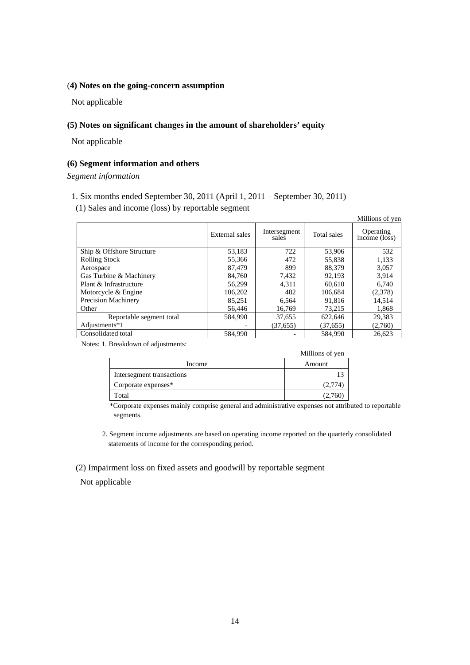### (**4) Notes on the going-concern assumption**

Not applicable

# **(5) Notes on significant changes in the amount of shareholders' equity**

Not applicable

# **(6) Segment information and others**

*Segment information* 

- 1. Six months ended September 30, 2011 (April 1, 2011 September 30, 2011)
- (1) Sales and income (loss) by reportable segment

|                            |                |                       |             | Millions of yen            |
|----------------------------|----------------|-----------------------|-------------|----------------------------|
|                            | External sales | Intersegment<br>sales | Total sales | Operating<br>income (loss) |
| Ship & Offshore Structure  | 53,183         | 722                   | 53,906      | 532                        |
| <b>Rolling Stock</b>       | 55,366         | 472                   | 55.838      | 1,133                      |
| Aerospace                  | 87.479         | 899                   | 88.379      | 3,057                      |
| Gas Turbine & Machinery    | 84,760         | 7.432                 | 92.193      | 3.914                      |
| Plant & Infrastructure     | 56,299         | 4.311                 | 60.610      | 6.740                      |
| Motorcycle & Engine        | 106.202        | 482                   | 106.684     | (2,378)                    |
| <b>Precision Machinery</b> | 85.251         | 6,564                 | 91.816      | 14,514                     |
| Other                      | 56,446         | 16,769                | 73,215      | 1,868                      |
| Reportable segment total   | 584,990        | 37,655                | 622,646     | 29,383                     |
| Adjustments*1              |                | (37, 655)             | (37, 655)   | (2,760)                    |
| Consolidated total         | 584,990        |                       | 584,990     | 26,623                     |

Notes: 1. Breakdown of adjustments:

|                           | Millions of yen |
|---------------------------|-----------------|
| Income                    | Amount          |
| Intersegment transactions |                 |
| Corporate expenses*       | (2,774)         |
| Total                     |                 |

\*Corporate expenses mainly comprise general and administrative expenses not attributed to reportable segments.

2. Segment income adjustments are based on operating income reported on the quarterly consolidated statements of income for the corresponding period.

(2) Impairment loss on fixed assets and goodwill by reportable segment

Not applicable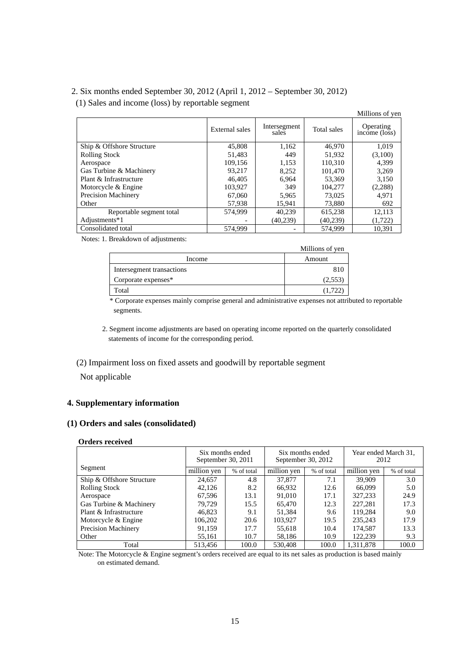# 2. Six months ended September 30, 2012 (April 1, 2012 – September 30, 2012) (1) Sales and income (loss) by reportable segment

|                            |                |                       |             | Millions of yen            |
|----------------------------|----------------|-----------------------|-------------|----------------------------|
|                            | External sales | Intersegment<br>sales | Total sales | Operating<br>income (loss) |
| Ship & Offshore Structure  | 45,808         | 1,162                 | 46,970      | 1,019                      |
| <b>Rolling Stock</b>       | 51,483         | 449                   | 51,932      | (3,100)                    |
| Aerospace                  | 109.156        | 1,153                 | 110.310     | 4.399                      |
| Gas Turbine & Machinery    | 93,217         | 8.252                 | 101.470     | 3,269                      |
| Plant & Infrastructure     | 46,405         | 6.964                 | 53,369      | 3,150                      |
| Motorcycle & Engine        | 103.927        | 349                   | 104,277     | (2,288)                    |
| <b>Precision Machinery</b> | 67,060         | 5,965                 | 73,025      | 4,971                      |
| Other                      | 57,938         | 15.941                | 73,880      | 692                        |
| Reportable segment total   | 574,999        | 40,239                | 615,238     | 12,113                     |
| Adjustments*1              |                | (40, 239)             | (40,239)    | (1, 722)                   |
| Consolidated total         | 574.999        |                       | 574.999     | 10.391                     |

Notes: 1. Breakdown of adjustments:

|                           | Millions of yen |
|---------------------------|-----------------|
| Income                    | Amount          |
| Intersegment transactions |                 |
| Corporate expenses*       | (2,553)         |
| Total                     |                 |

\* Corporate expenses mainly comprise general and administrative expenses not attributed to reportable segments.

- 2. Segment income adjustments are based on operating income reported on the quarterly consolidated statements of income for the corresponding period.
- (2) Impairment loss on fixed assets and goodwill by reportable segment

Not applicable

# **4. Supplementary information**

# **(1) Orders and sales (consolidated)**

#### **Orders received**

|                            | Six months ended<br>September 30, 2011 |            | Six months ended<br>September 30, 2012 |            | Year ended March 31,<br>2012 |            |
|----------------------------|----------------------------------------|------------|----------------------------------------|------------|------------------------------|------------|
| Segment                    | million ven                            | % of total | million yen                            | % of total | million yen                  | % of total |
| Ship & Offshore Structure  | 24,657                                 | 4.8        | 37,877                                 | 7.1        | 39,909                       | 3.0        |
| <b>Rolling Stock</b>       | 42,126                                 | 8.2        | 66,932                                 | 12.6       | 66,099                       | 5.0        |
| Aerospace                  | 67.596                                 | 13.1       | 91.010                                 | 17.1       | 327,233                      | 24.9       |
| Gas Turbine & Machinery    | 79.729                                 | 15.5       | 65,470                                 | 12.3       | 227,281                      | 17.3       |
| Plant & Infrastructure     | 46,823                                 | 9.1        | 51.384                                 | 9.6        | 119.284                      | 9.0        |
| Motorcycle & Engine        | 106.202                                | 20.6       | 103,927                                | 19.5       | 235,243                      | 17.9       |
| <b>Precision Machinery</b> | 91.159                                 | 17.7       | 55.618                                 | 10.4       | 174.587                      | 13.3       |
| Other                      | 55,161                                 | 10.7       | 58,186                                 | 10.9       | 122,239                      | 9.3        |
| Total                      | 513.456                                | 100.0      | 530,408                                | 100.0      | 1.311.878                    | 100.0      |

Note: The Motorcycle & Engine segment's orders received are equal to its net sales as production is based mainly on estimated demand.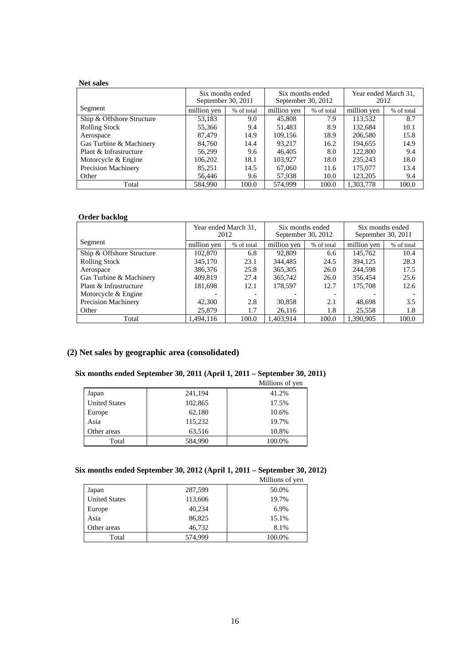## **Net sales**

|                            | Six months ended<br>September 30, 2011 |            | Six months ended<br>September 30, 2012 |            | Year ended March 31.<br>2012 |            |
|----------------------------|----------------------------------------|------------|----------------------------------------|------------|------------------------------|------------|
| Segment                    | million yen                            | % of total | million yen                            | % of total | million yen                  | % of total |
| Ship & Offshore Structure  | 53,183                                 | 9.0        | 45,808                                 | 7.9        | 113,532                      | 8.7        |
| <b>Rolling Stock</b>       | 55,366                                 | 9.4        | 51,483                                 | 8.9        | 132.684                      | 10.1       |
| Aerospace                  | 87.479                                 | 14.9       | 109,156                                | 18.9       | 206,580                      | 15.8       |
| Gas Turbine & Machinery    | 84.760                                 | 14.4       | 93.217                                 | 16.2       | 194.655                      | 14.9       |
| Plant & Infrastructure     | 56,299                                 | 9.6        | 46,405                                 | 8.0        | 122,800                      | 9.4        |
| Motorcycle & Engine        | 106.202                                | 18.1       | 103.927                                | 18.0       | 235,243                      | 18.0       |
| <b>Precision Machinery</b> | 85,251                                 | 14.5       | 67,060                                 | 11.6       | 175,077                      | 13.4       |
| Other                      | 56.446                                 | 9.6        | 57,938                                 | 10.0       | 123,205                      | 9.4        |
| Total                      | 584,990                                | 100.0      | 574.999                                | 100.0      | 1.303.778                    | 100.0      |

### **Order backlog**

|                            |             | Year ended March 31,<br>Six months ended<br>September 30, 2012<br>2012 |             |            | Six months ended<br>September 30, 2011 |            |
|----------------------------|-------------|------------------------------------------------------------------------|-------------|------------|----------------------------------------|------------|
| Segment                    | million yen | % of total                                                             | million yen | % of total | million yen                            | % of total |
| Ship & Offshore Structure  | 102,870     | 6.8                                                                    | 92,809      | 6.6        | 145.762                                | 10.4       |
| <b>Rolling Stock</b>       | 345,170     | 23.1                                                                   | 344,485     | 24.5       | 394,125                                | 28.3       |
| Aerospace                  | 386,376     | 25.8                                                                   | 365,305     | 26.0       | 244,598                                | 17.5       |
| Gas Turbine & Machinery    | 409.819     | 27.4                                                                   | 365,742     | 26.0       | 356,454                                | 25.6       |
| Plant & Infrastructure     | 181,698     | 12.1                                                                   | 178,597     | 12.7       | 175,708                                | 12.6       |
| Motorcycle & Engine        |             |                                                                        |             |            |                                        |            |
| <b>Precision Machinery</b> | 42,300      | 2.8                                                                    | 30,858      | 2.1        | 48.698                                 | 3.5        |
| Other                      | 25,879      | 1.7                                                                    | 26,116      | 1.8        | 25,558                                 | 1.8        |
| Total                      | 1.494.116   | 100.0                                                                  | 1.403.914   | 100.0      | 1.390.905                              | 100.0      |

# **(2) Net sales by geographic area (consolidated)**

# **Six months ended September 30, 2011 (April 1, 2011 – September 30, 2011)**

|                      |         | Millions of yen |
|----------------------|---------|-----------------|
| Japan                | 241,194 | 41.2%           |
| <b>United States</b> | 102,865 | 17.5%           |
| Europe               | 62,180  | 10.6%           |
| Asia                 | 115,232 | 19.7%           |
| Other areas          | 63,516  | 10.8%           |
| Total                | 584,990 | 100.0%          |

# **Six months ended September 30, 2012 (April 1, 2011 – September 30, 2012)**

|                      |         | Millions of yen |
|----------------------|---------|-----------------|
| Japan                | 287,599 | 50.0%           |
| <b>United States</b> | 113,606 | 19.7%           |
| Europe               | 40,234  | 6.9%            |
| Asia                 | 86,825  | 15.1%           |
| Other areas          | 46,732  | 8.1%            |
| Total                | 574,999 | 100.0%          |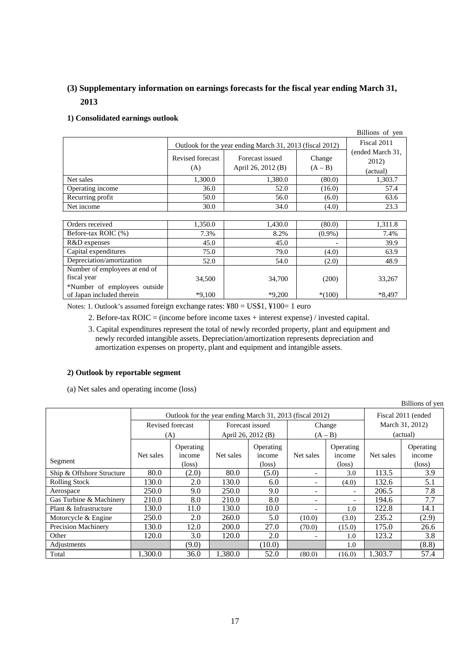# **(3) Supplementary information on earnings forecasts for the fiscal year ending March 31, 2013**

## **1) Consolidated earnings outlook**

|                  |                                                          |                           |           | Billions of yen |  |  |
|------------------|----------------------------------------------------------|---------------------------|-----------|-----------------|--|--|
|                  | Outlook for the year ending March 31, 2013 (fiscal 2012) |                           |           |                 |  |  |
|                  | Revised forecast                                         | (ended March 31,<br>2012) |           |                 |  |  |
|                  | (A)                                                      | April 26, 2012 (B)        | $(A - B)$ | (actual)        |  |  |
| Net sales        | 1,300.0                                                  | 1,380.0                   | (80.0)    | 1,303.7         |  |  |
| Operating income | 36.0                                                     | 52.0                      | (16.0)    | 57.4            |  |  |
| Recurring profit | 50.0                                                     | 56.0                      | (6.0)     | 63.6            |  |  |
| Net income       | 30.0                                                     | 34.0                      | (4.0)     | 23.3            |  |  |

| Orders received               | 1,350.0  | 1,430.0  | (80.0)                   | 1,311.8 |
|-------------------------------|----------|----------|--------------------------|---------|
| Before-tax ROIC (%)           | 7.3%     | 8.2%     | $(0.9\%)$                | 7.4%    |
| R&D expenses                  | 45.0     | 45.0     | $\overline{\phantom{0}}$ | 39.9    |
| Capital expenditures          | 75.0     | 79.0     | (4.0)                    | 63.9    |
| Depreciation/amortization     | 52.0     | 54.0     | (2.0)                    | 48.9    |
| Number of employees at end of |          |          |                          |         |
| fiscal year                   | 34,500   | 34,700   | (200)                    | 33,267  |
| *Number of employees outside  |          |          |                          |         |
| of Japan included therein     | $*9.100$ | $*9,200$ | $*(100)$                 | *8.497  |

Notes: 1. Outlook's assumed foreign exchange rates: ¥80 = US\$1, ¥100= 1 euro

2. Before-tax ROIC = (income before income taxes + interest expense) / invested capital.

3. Capital expenditures represent the total of newly recorded property, plant and equipment and newly recorded intangible assets. Depreciation/amortization represents depreciation and amortization expenses on property, plant and equipment and intangible assets.

### **2) Outlook by reportable segment**

(a) Net sales and operating income (loss)

|                           |                                                          |                 |                    |                 |                          |                          |                 | Billions of yen |
|---------------------------|----------------------------------------------------------|-----------------|--------------------|-----------------|--------------------------|--------------------------|-----------------|-----------------|
|                           | Outlook for the year ending March 31, 2013 (fiscal 2012) |                 |                    |                 |                          |                          |                 |                 |
|                           | Revised forecast<br>(A)                                  |                 | Forecast issued    |                 | Change                   |                          | March 31, 2012) |                 |
|                           |                                                          |                 | April 26, 2012 (B) |                 | $(A - B)$                |                          | (actual)        |                 |
|                           |                                                          | Operating       |                    | Operating       |                          | Operating                |                 | Operating       |
|                           | Net sales                                                | income          | Net sales          | income          | Net sales                | income                   | Net sales       | income          |
| Segment                   |                                                          | $(\text{loss})$ |                    | $(\text{loss})$ |                          | $(\text{loss})$          |                 | $(\text{loss})$ |
| Ship & Offshore Structure | 80.0                                                     | (2.0)           | 80.0               | (5.0)           | $\overline{\phantom{a}}$ | 3.0                      | 113.5           | 3.9             |
| <b>Rolling Stock</b>      | 130.0                                                    | 2.0             | 130.0              | 6.0             |                          | (4.0)                    | 132.6           | 5.1             |
| Aerospace                 | 250.0                                                    | 9.0             | 250.0              | 9.0             |                          |                          | 206.5           | 7.8             |
| Gas Turbine & Machinery   | 210.0                                                    | 8.0             | 210.0              | 8.0             |                          | $\overline{\phantom{0}}$ | 194.6           | 7.7             |
| Plant & Infrastructure    | 130.0                                                    | 11.0            | 130.0              | 10.0            |                          | 1.0                      | 122.8           | 14.1            |
| Motorcycle & Engine       | 250.0                                                    | 2.0             | 260.0              | 5.0             | (10.0)                   | (3.0)                    | 235.2           | (2.9)           |
| Precision Machinery       | 130.0                                                    | 12.0            | 200.0              | 27.0            | (70.0)                   | (15.0)                   | 175.0           | 26.6            |
| Other                     | 120.0                                                    | 3.0             | 120.0              | 2.0             |                          | 1.0                      | 123.2           | 3.8             |
| Adjustments               |                                                          | (9.0)           |                    | (10.0)          |                          | 1.0                      |                 | (8.8)           |
| Total                     | 1.300.0                                                  | 36.0            | 1.380.0            | 52.0            | (80.0)                   | (16.0)                   | 1.303.7         | 57.4            |